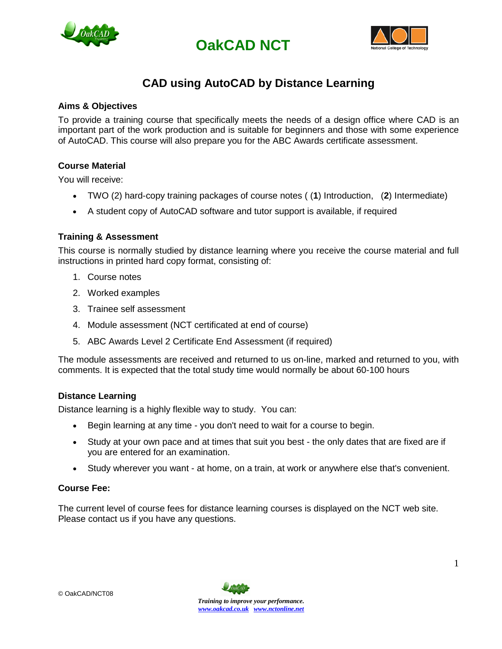





### **CAD using AutoCAD by Distance Learning**

### **Aims & Objectives**

To provide a training course that specifically meets the needs of a design office where CAD is an important part of the work production and is suitable for beginners and those with some experience of AutoCAD. This course will also prepare you for the ABC Awards certificate assessment.

### **Course Material**

You will receive:

- TWO (2) hard-copy training packages of course notes ( (**1**) Introduction, (**2**) Intermediate)
- A student copy of AutoCAD software and tutor support is available, if required

### **Training & Assessment**

This course is normally studied by distance learning where you receive the course material and full instructions in printed hard copy format, consisting of:

- 1. Course notes
- 2. Worked examples
- 3. Trainee self assessment
- 4. Module assessment (NCT certificated at end of course)
- 5. ABC Awards Level 2 Certificate End Assessment (if required)

The module assessments are received and returned to us on-line, marked and returned to you, with comments. It is expected that the total study time would normally be about 60-100 hours

#### **Distance Learning**

Distance learning is a highly flexible way to study. You can:

- Begin learning at any time you don't need to wait for a course to begin.
- Study at your own pace and at times that suit you best the only dates that are fixed are if you are entered for an examination.
- Study wherever you want at home, on a train, at work or anywhere else that's convenient.

### **Course Fee:**

The current level of course fees for distance learning courses is displayed on the NCT web site. Please contact us if you have any questions.

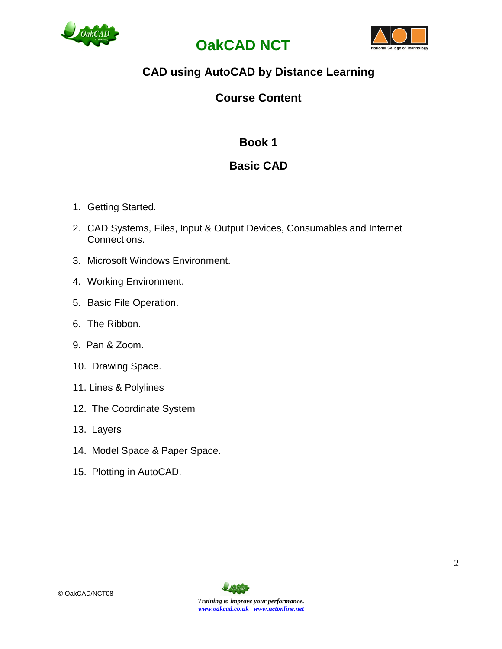





# **CAD using AutoCAD by Distance Learning**

### **Course Content**

# **Book 1**

# **Basic CAD**

- 1. Getting Started.
- 2. CAD Systems, Files, Input & Output Devices, Consumables and Internet Connections.
- 3. Microsoft Windows Environment.
- 4. Working Environment.
- 5. Basic File Operation.
- 6. The Ribbon.
- 9. Pan & Zoom.
- 10. Drawing Space.
- 11. Lines & Polylines
- 12. The Coordinate System
- 13. Layers
- 14. Model Space & Paper Space.
- 15. Plotting in AutoCAD.